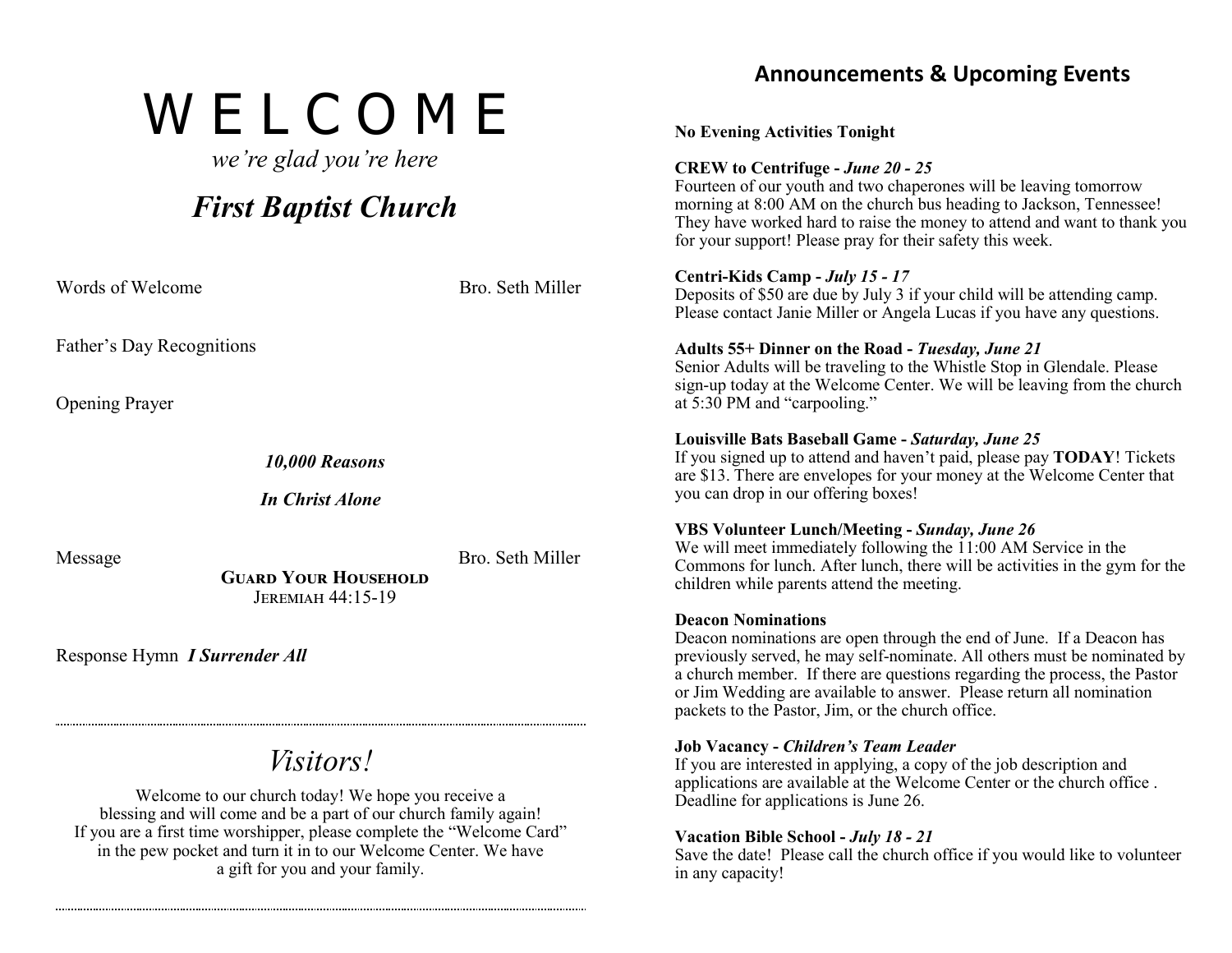# W E L C O M E

*we're glad you're here*

# *First Baptist Church*

Words of Welcome **Bro.** Bro. Seth Miller

Father's Day Recognitions Opening Prayer *10,000 Reasons In Christ Alone* Message Bro. Seth Miller **Guard Your Household**

Response Hymn *I Surrender All*

# *Visitors!*

Jeremiah 44:15-19

Welcome to our church today! We hope you receive a blessing and will come and be a part of our church family again! If you are a first time worshipper, please complete the "Welcome Card" in the pew pocket and turn it in to our Welcome Center. We have a gift for you and your family.

# **Announcements & Upcoming Events No Evening Activities Tonight CREW to Centrifuge -** *June 20 - 25* Fourteen of our youth and two chaperones will be leaving tomorrow morning at  $8:00$  AM on the church bus heading to Jackson, Tennessee! They have worked hard to raise the money to attend and want to thank you for your support! Please pray for their safety this week. **Centri-Kids Camp -** *July 15 - 17* Deposits of \$50 are due by July 3 if your child will be attending camp. Please contact Janie Miller or Angela Lucas if you have any questions. **Adults 55+ Dinner on the Road -** *Tuesday, June 21* Senior Adults will be traveling to the Whistle Stop in Glendale. Please sign-up today at the Welcome Center. We will be leaving from the church at 5:30 PM and "carpooling." **Louisville Bats Baseball Game -** *Saturday, June 25* If you signed up to attend and haven't paid, please pay **TODAY**! Tickets are \$13. There are envelopes for your money at the Welcome Center that you can drop in our offering boxes! **VBS Volunteer Lunch/Meeting -** *Sunday, June 26* We will meet immediately following the 11:00 AM Service in the Commons for lunch. After lunch, there will be activities in the gym for the children while parents attend the meeting. **Deacon Nominations** Deacon nominations are open through the end of June. If a Deacon has previously served, he may self-nominate. All others must be nominated by

a church member. If there are questions regarding the process, the Pastor or Jim Wedding are available to answer. Please return all nomination packets to the Pastor, Jim, or the church office.

## **Job Vacancy -** *Children's Team Leader*

If you are interested in applying, a copy of the job description and applications are available at the Welcome Center or the church office . Deadline for applications is June 26.

## **Vacation Bible School -** *July 18 - 21*

Save the date! Please call the church office if you would like to volunteer in any capacity!